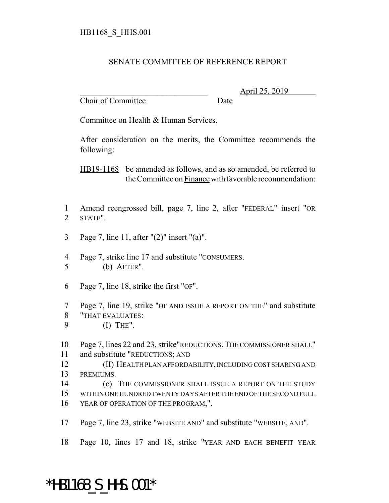## SENATE COMMITTEE OF REFERENCE REPORT

Chair of Committee Date

\_\_\_\_\_\_\_\_\_\_\_\_\_\_\_\_\_\_\_\_\_\_\_\_\_\_\_\_\_\_\_ April 25, 2019

Committee on Health & Human Services.

After consideration on the merits, the Committee recommends the following:

HB19-1168 be amended as follows, and as so amended, be referred to the Committee on Finance with favorable recommendation:

- Amend reengrossed bill, page 7, line 2, after "FEDERAL" insert "OR STATE".
- Page 7, line 11, after "(2)" insert "(a)".
- Page 7, strike line 17 and substitute "CONSUMERS. (b) AFTER".
- Page 7, line 18, strike the first "OF".
- Page 7, line 19, strike "OF AND ISSUE A REPORT ON THE" and substitute
- "THAT EVALUATES:
- (I) THE".
- Page 7, lines 22 and 23, strike"REDUCTIONS. THE COMMISSIONER SHALL" and substitute "REDUCTIONS; AND
- (II) HEALTH PLAN AFFORDABILITY, INCLUDING COST SHARING AND PREMIUMS.
- 14 (c) THE COMMISSIONER SHALL ISSUE A REPORT ON THE STUDY
- WITHIN ONE HUNDRED TWENTY DAYS AFTER THE END OF THE SECOND FULL
- YEAR OF OPERATION OF THE PROGRAM,".
- Page 7, line 23, strike "WEBSITE AND" and substitute "WEBSITE, AND".
- Page 10, lines 17 and 18, strike "YEAR AND EACH BENEFIT YEAR

## \*HB1168\_S\_HHS.001\*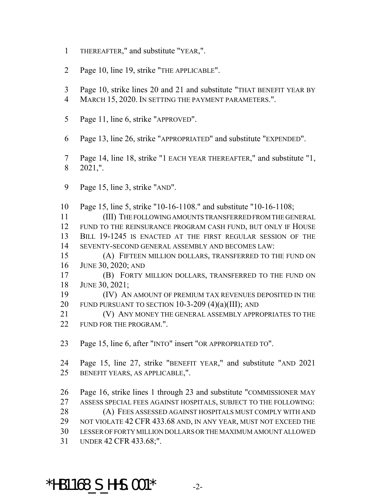- THEREAFTER," and substitute "YEAR,".
- Page 10, line 19, strike "THE APPLICABLE".
- Page 10, strike lines 20 and 21 and substitute "THAT BENEFIT YEAR BY
- MARCH 15, 2020. IN SETTING THE PAYMENT PARAMETERS.".
- Page 11, line 6, strike "APPROVED".
- Page 13, line 26, strike "APPROPRIATED" and substitute "EXPENDED".
- Page 14, line 18, strike "1 EACH YEAR THEREAFTER," and substitute "1, 2021,".
- Page 15, line 3, strike "AND".

 Page 15, line 5, strike "10-16-1108." and substitute "10-16-1108; (III) THE FOLLOWING AMOUNTS TRANSFERRED FROM THE GENERAL

 FUND TO THE REINSURANCE PROGRAM CASH FUND, BUT ONLY IF HOUSE BILL 19-1245 IS ENACTED AT THE FIRST REGULAR SESSION OF THE SEVENTY-SECOND GENERAL ASSEMBLY AND BECOMES LAW:

- (A) FIFTEEN MILLION DOLLARS, TRANSFERRED TO THE FUND ON JUNE 30, 2020; AND
- (B) FORTY MILLION DOLLARS, TRANSFERRED TO THE FUND ON JUNE 30, 2021;
- (IV) AN AMOUNT OF PREMIUM TAX REVENUES DEPOSITED IN THE 20 FUND PURSUANT TO SECTION  $10-3-209$   $(4)(a)(III)$ ; AND
- (V) ANY MONEY THE GENERAL ASSEMBLY APPROPRIATES TO THE 22 FUND FOR THE PROGRAM.".
- Page 15, line 6, after "INTO" insert "OR APPROPRIATED TO".

 Page 15, line 27, strike "BENEFIT YEAR," and substitute "AND 2021 BENEFIT YEARS, AS APPLICABLE,".

 Page 16, strike lines 1 through 23 and substitute "COMMISSIONER MAY ASSESS SPECIAL FEES AGAINST HOSPITALS, SUBJECT TO THE FOLLOWING: (A) FEES ASSESSED AGAINST HOSPITALS MUST COMPLY WITH AND NOT VIOLATE 42 CFR 433.68 AND, IN ANY YEAR, MUST NOT EXCEED THE LESSER OF FORTY MILLION DOLLARS OR THE MAXIMUM AMOUNT ALLOWED UNDER 42 CFR 433.68;".

## \*HB1168 S HHS.001\*  $-2$ -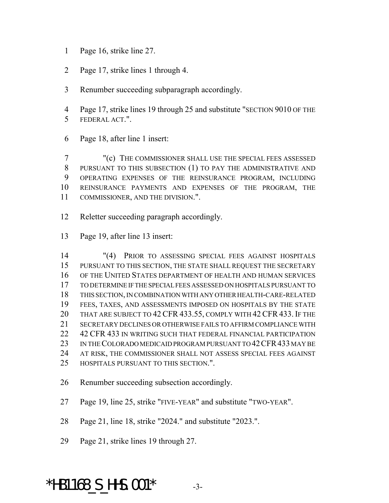- Page 16, strike line 27.
- Page 17, strike lines 1 through 4.
- Renumber succeeding subparagraph accordingly.
- Page 17, strike lines 19 through 25 and substitute "SECTION 9010 OF THE FEDERAL ACT.".
- Page 18, after line 1 insert:

 "(c) THE COMMISSIONER SHALL USE THE SPECIAL FEES ASSESSED PURSUANT TO THIS SUBSECTION (1) TO PAY THE ADMINISTRATIVE AND OPERATING EXPENSES OF THE REINSURANCE PROGRAM, INCLUDING REINSURANCE PAYMENTS AND EXPENSES OF THE PROGRAM, THE COMMISSIONER, AND THE DIVISION.".

- Reletter succeeding paragraph accordingly.
- Page 19, after line 13 insert:

 "(4) PRIOR TO ASSESSING SPECIAL FEES AGAINST HOSPITALS PURSUANT TO THIS SECTION, THE STATE SHALL REQUEST THE SECRETARY OF THE UNITED STATES DEPARTMENT OF HEALTH AND HUMAN SERVICES TO DETERMINE IF THE SPECIAL FEES ASSESSED ON HOSPITALS PURSUANT TO THIS SECTION, IN COMBINATION WITH ANY OTHER HEALTH-CARE-RELATED FEES, TAXES, AND ASSESSMENTS IMPOSED ON HOSPITALS BY THE STATE 20 THAT ARE SUBJECT TO 42 CFR 433.55, COMPLY WITH 42 CFR 433. IF THE SECRETARY DECLINES OR OTHERWISE FAILS TO AFFIRM COMPLIANCE WITH 42 CFR 433 IN WRITING SUCH THAT FEDERAL FINANCIAL PARTICIPATION 23 IN THE COLORADO MEDICAID PROGRAM PURSUANT TO 42 CFR 433 MAY BE AT RISK, THE COMMISSIONER SHALL NOT ASSESS SPECIAL FEES AGAINST HOSPITALS PURSUANT TO THIS SECTION.".

- Renumber succeeding subsection accordingly.
- Page 19, line 25, strike "FIVE-YEAR" and substitute "TWO-YEAR".

Page 21, line 18, strike "2024." and substitute "2023.".

Page 21, strike lines 19 through 27.

\*HB1168 S HHS.001\*  $-3$ -